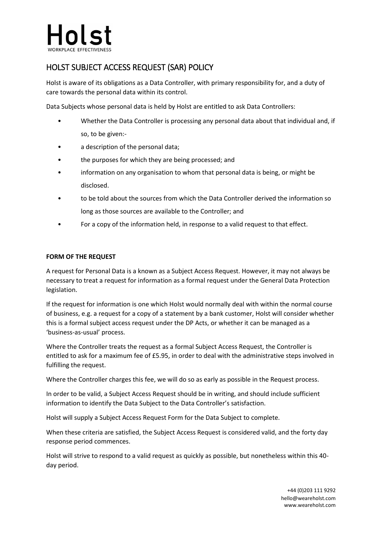# HOLST SUBJECT ACCESS REQUEST (SAR) POLICY

Holst is aware of its obligations as a Data Controller, with primary responsibility for, and a duty of care towards the personal data within its control.

Data Subjects whose personal data is held by Holst are entitled to ask Data Controllers:

- Whether the Data Controller is processing any personal data about that individual and, if so, to be given:-
- a description of the personal data;
- the purposes for which they are being processed; and
- information on any organisation to whom that personal data is being, or might be disclosed.
- to be told about the sources from which the Data Controller derived the information so long as those sources are available to the Controller; and
- For a copy of the information held, in response to a valid request to that effect.

# **FORM OF THE REQUEST**

A request for Personal Data is a known as a Subject Access Request. However, it may not always be necessary to treat a request for information as a formal request under the General Data Protection legislation.

If the request for information is one which Holst would normally deal with within the normal course of business, e.g. a request for a copy of a statement by a bank customer, Holst will consider whether this is a formal subject access request under the DP Acts, or whether it can be managed as a 'business-as-usual' process.

Where the Controller treats the request as a formal Subject Access Request, the Controller is entitled to ask for a maximum fee of £5.95, in order to deal with the administrative steps involved in fulfilling the request.

Where the Controller charges this fee, we will do so as early as possible in the Request process.

In order to be valid, a Subject Access Request should be in writing, and should include sufficient information to identify the Data Subject to the Data Controller's satisfaction.

Holst will supply a Subject Access Request Form for the Data Subject to complete.

When these criteria are satisfied, the Subject Access Request is considered valid, and the forty day response period commences.

Holst will strive to respond to a valid request as quickly as possible, but nonetheless within this 40 day period.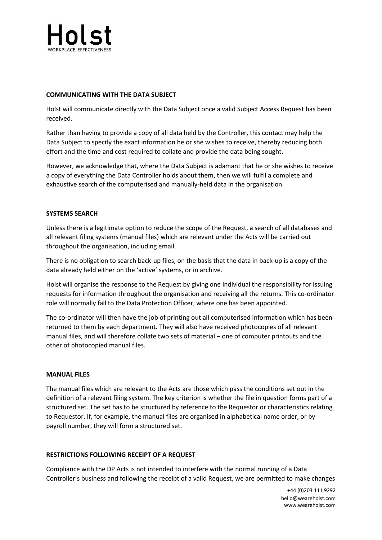

# **COMMUNICATING WITH THE DATA SUBJECT**

Holst will communicate directly with the Data Subject once a valid Subject Access Request has been received.

Rather than having to provide a copy of all data held by the Controller, this contact may help the Data Subject to specify the exact information he or she wishes to receive, thereby reducing both effort and the time and cost required to collate and provide the data being sought.

However, we acknowledge that, where the Data Subject is adamant that he or she wishes to receive a copy of everything the Data Controller holds about them, then we will fulfil a complete and exhaustive search of the computerised and manually-held data in the organisation.

# **SYSTEMS SEARCH**

Unless there is a legitimate option to reduce the scope of the Request, a search of all databases and all relevant filing systems (manual files) which are relevant under the Acts will be carried out throughout the organisation, including email.

There is no obligation to search back-up files, on the basis that the data in back-up is a copy of the data already held either on the 'active' systems, or in archive.

Holst will organise the response to the Request by giving one individual the responsibility for issuing requests for information throughout the organisation and receiving all the returns. This co-ordinator role will normally fall to the Data Protection Officer, where one has been appointed.

The co-ordinator will then have the job of printing out all computerised information which has been returned to them by each department. They will also have received photocopies of all relevant manual files, and will therefore collate two sets of material – one of computer printouts and the other of photocopied manual files.

#### **MANUAL FILES**

The manual files which are relevant to the Acts are those which pass the conditions set out in the definition of a relevant filing system. The key criterion is whether the file in question forms part of a structured set. The set has to be structured by reference to the Requestor or characteristics relating to Requestor. If, for example, the manual files are organised in alphabetical name order, or by payroll number, they will form a structured set.

#### **RESTRICTIONS FOLLOWING RECEIPT OF A REQUEST**

Compliance with the DP Acts is not intended to interfere with the normal running of a Data Controller's business and following the receipt of a valid Request, we are permitted to make changes

> +44 (0)203 111 9292 hello@weareholst.com www.weareholst.com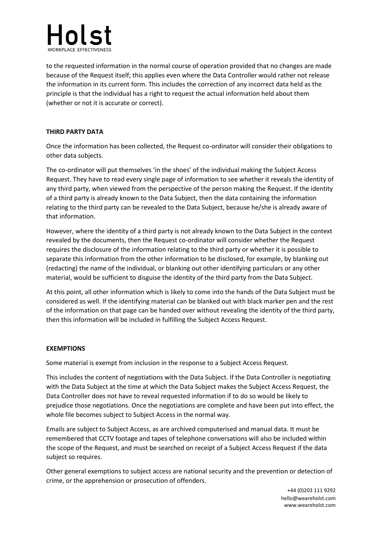

to the requested information in the normal course of operation provided that no changes are made because of the Request itself; this applies even where the Data Controller would rather not release the information in its current form. This includes the correction of any incorrect data held as the principle is that the individual has a right to request the actual information held about them (whether or not it is accurate or correct).

# **THIRD PARTY DATA**

Once the information has been collected, the Request co-ordinator will consider their obligations to other data subjects.

The co-ordinator will put themselves 'in the shoes' of the individual making the Subject Access Request. They have to read every single page of information to see whether it reveals the identity of any third party, when viewed from the perspective of the person making the Request. If the identity of a third party is already known to the Data Subject, then the data containing the information relating to the third party can be revealed to the Data Subject, because he/she is already aware of that information.

However, where the identity of a third party is not already known to the Data Subject in the context revealed by the documents, then the Request co-ordinator will consider whether the Request requires the disclosure of the information relating to the third party or whether it is possible to separate this information from the other information to be disclosed, for example, by blanking out (redacting) the name of the individual, or blanking out other identifying particulars or any other material, would be sufficient to disguise the identity of the third party from the Data Subject.

At this point, all other information which is likely to come into the hands of the Data Subject must be considered as well. If the identifying material can be blanked out with black marker pen and the rest of the information on that page can be handed over without revealing the identity of the third party, then this information will be included in fulfilling the Subject Access Request.

#### **EXEMPTIONS**

Some material is exempt from inclusion in the response to a Subject Access Request.

This includes the content of negotiations with the Data Subject. If the Data Controller is negotiating with the Data Subject at the time at which the Data Subject makes the Subject Access Request, the Data Controller does not have to reveal requested information if to do so would be likely to prejudice those negotiations. Once the negotiations are complete and have been put into effect, the whole file becomes subject to Subject Access in the normal way.

Emails are subject to Subject Access, as are archived computerised and manual data. It must be remembered that CCTV footage and tapes of telephone conversations will also be included within the scope of the Request, and must be searched on receipt of a Subject Access Request if the data subject so requires.

Other general exemptions to subject access are national security and the prevention or detection of crime, or the apprehension or prosecution of offenders.